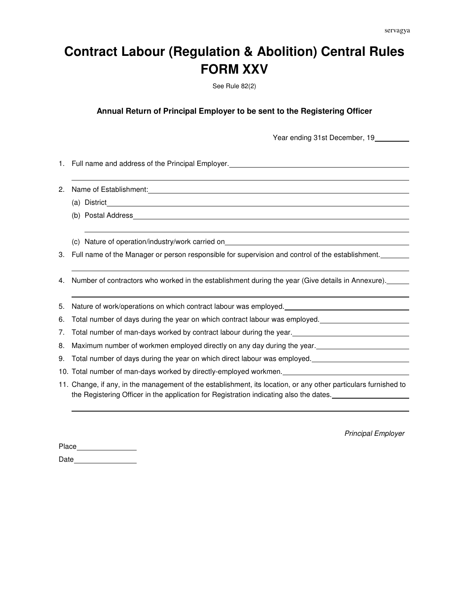## **Contract Labour (Regulation & Abolition) Central Rules FORM XXV**

See Rule 82(2)

**Annual Return of Principal Employer to be sent to the Registering Officer**

Year ending 31st December, 19

1. Full name and address of the Principal Employer.

2. Name of Establishment:

- (a) District
- (b) Postal Address

(c) Nature of operation/industry/work carried on

3. Full name of the Manager or person responsible for supervision and control of the establishment.

4. Number of contractors who worked in the establishment during the year (Give details in Annexure).

5. Nature of work/operations on which contract labour was employed.

6. Total number of days during the year on which contract labour was employed.

7. Total number of man-days worked by contract labour during the year.

8. Maximum number of workmen employed directly on any day during the year.

9. Total number of days during the year on which direct labour was employed.

10. Total number of man-days worked by directly-employed workmen.

11. Change, if any, in the management of the establishment, its location, or any other particulars furnished to the Registering Officer in the application for Registration indicating also the dates.

Principal Employer

Place Date<sub>\_</sub>